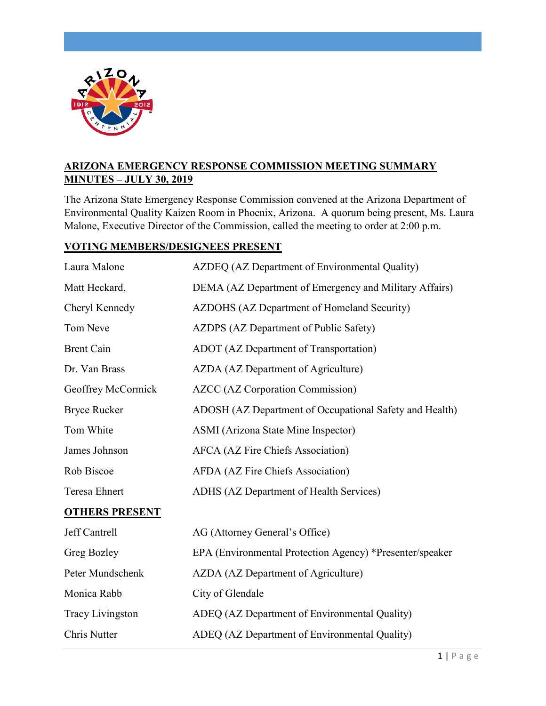

# **ARIZONA EMERGENCY RESPONSE COMMISSION MEETING SUMMARY MINUTES – JULY 30, 2019**

The Arizona State Emergency Response Commission convened at the Arizona Department of Environmental Quality Kaizen Room in Phoenix, Arizona. A quorum being present, Ms. Laura Malone, Executive Director of the Commission, called the meeting to order at 2:00 p.m.

# **VOTING MEMBERS/DESIGNEES PRESENT**

| Laura Malone          | AZDEQ (AZ Department of Environmental Quality)           |
|-----------------------|----------------------------------------------------------|
| Matt Heckard,         | DEMA (AZ Department of Emergency and Military Affairs)   |
| Cheryl Kennedy        | AZDOHS (AZ Department of Homeland Security)              |
| Tom Neve              | AZDPS (AZ Department of Public Safety)                   |
| <b>Brent Cain</b>     | ADOT (AZ Department of Transportation)                   |
| Dr. Van Brass         | AZDA (AZ Department of Agriculture)                      |
| Geoffrey McCormick    | <b>AZCC</b> (AZ Corporation Commission)                  |
| <b>Bryce Rucker</b>   | ADOSH (AZ Department of Occupational Safety and Health)  |
| Tom White             | ASMI (Arizona State Mine Inspector)                      |
| James Johnson         | AFCA (AZ Fire Chiefs Association)                        |
| Rob Biscoe            | AFDA (AZ Fire Chiefs Association)                        |
| Teresa Ehnert         | ADHS (AZ Department of Health Services)                  |
| <b>OTHERS PRESENT</b> |                                                          |
| Jeff Cantrell         | AG (Attorney General's Office)                           |
| Greg Bozley           | EPA (Environmental Protection Agency) *Presenter/speaker |
| Peter Mundschenk      | AZDA (AZ Department of Agriculture)                      |
| Monica Rabb           | City of Glendale                                         |
| Tracy Livingston      | ADEQ (AZ Department of Environmental Quality)            |
| Chris Nutter          | ADEQ (AZ Department of Environmental Quality)            |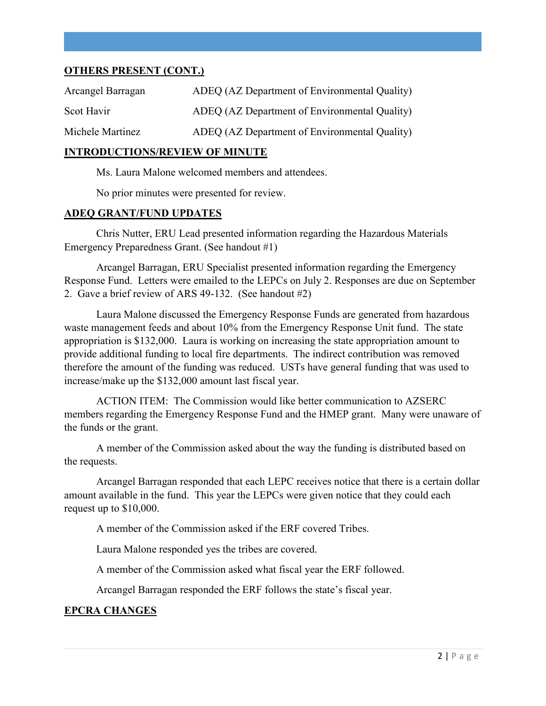### **OTHERS PRESENT (CONT.)**

| Arcangel Barragan | ADEQ (AZ Department of Environmental Quality) |
|-------------------|-----------------------------------------------|
| Scot Havir        | ADEQ (AZ Department of Environmental Quality) |
| Michele Martinez  | ADEQ (AZ Department of Environmental Quality) |

#### **INTRODUCTIONS/REVIEW OF MINUTE**

Ms. Laura Malone welcomed members and attendees.

No prior minutes were presented for review.

### **ADEQ GRANT/FUND UPDATES**

Chris Nutter, ERU Lead presented information regarding the Hazardous Materials Emergency Preparedness Grant. (See handout #1)

Arcangel Barragan, ERU Specialist presented information regarding the Emergency Response Fund. Letters were emailed to the LEPCs on July 2. Responses are due on September 2. Gave a brief review of ARS 49-132. (See handout #2)

Laura Malone discussed the Emergency Response Funds are generated from hazardous waste management feeds and about 10% from the Emergency Response Unit fund. The state appropriation is \$132,000. Laura is working on increasing the state appropriation amount to provide additional funding to local fire departments. The indirect contribution was removed therefore the amount of the funding was reduced. USTs have general funding that was used to increase/make up the \$132,000 amount last fiscal year.

ACTION ITEM: The Commission would like better communication to AZSERC members regarding the Emergency Response Fund and the HMEP grant. Many were unaware of the funds or the grant.

A member of the Commission asked about the way the funding is distributed based on the requests.

Arcangel Barragan responded that each LEPC receives notice that there is a certain dollar amount available in the fund. This year the LEPCs were given notice that they could each request up to \$10,000.

A member of the Commission asked if the ERF covered Tribes.

Laura Malone responded yes the tribes are covered.

A member of the Commission asked what fiscal year the ERF followed.

Arcangel Barragan responded the ERF follows the state's fiscal year.

### **EPCRA CHANGES**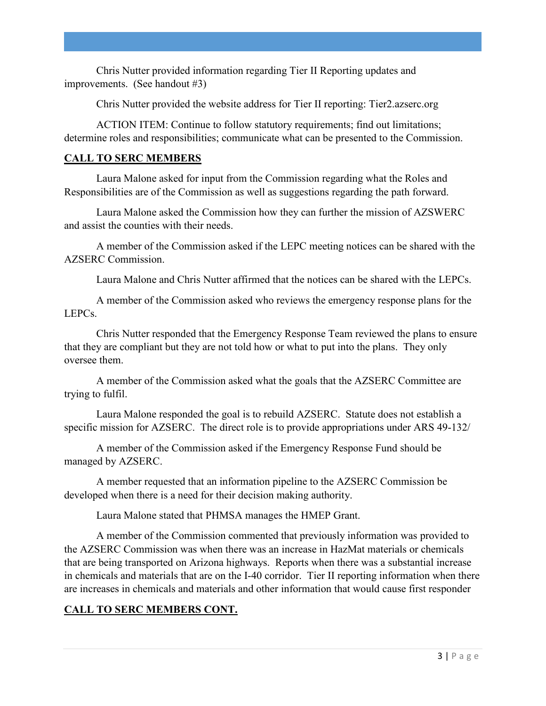Chris Nutter provided information regarding Tier II Reporting updates and improvements. (See handout #3)

Chris Nutter provided the website address for Tier II reporting: Tier2.azserc.org

ACTION ITEM: Continue to follow statutory requirements; find out limitations; determine roles and responsibilities; communicate what can be presented to the Commission.

# **CALL TO SERC MEMBERS**

Laura Malone asked for input from the Commission regarding what the Roles and Responsibilities are of the Commission as well as suggestions regarding the path forward.

Laura Malone asked the Commission how they can further the mission of AZSWERC and assist the counties with their needs.

A member of the Commission asked if the LEPC meeting notices can be shared with the AZSERC Commission.

Laura Malone and Chris Nutter affirmed that the notices can be shared with the LEPCs.

A member of the Commission asked who reviews the emergency response plans for the LEPCs.

Chris Nutter responded that the Emergency Response Team reviewed the plans to ensure that they are compliant but they are not told how or what to put into the plans. They only oversee them.

A member of the Commission asked what the goals that the AZSERC Committee are trying to fulfil.

Laura Malone responded the goal is to rebuild AZSERC. Statute does not establish a specific mission for AZSERC. The direct role is to provide appropriations under ARS 49-132/

A member of the Commission asked if the Emergency Response Fund should be managed by AZSERC.

A member requested that an information pipeline to the AZSERC Commission be developed when there is a need for their decision making authority.

Laura Malone stated that PHMSA manages the HMEP Grant.

A member of the Commission commented that previously information was provided to the AZSERC Commission was when there was an increase in HazMat materials or chemicals that are being transported on Arizona highways. Reports when there was a substantial increase in chemicals and materials that are on the I-40 corridor. Tier II reporting information when there are increases in chemicals and materials and other information that would cause first responder

# **CALL TO SERC MEMBERS CONT.**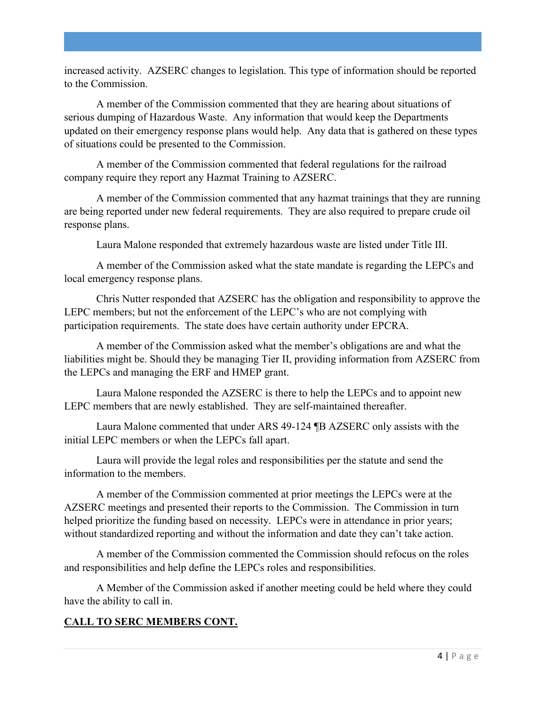increased activity. AZSERC changes to legislation. This type of information should be reported to the Commission.

A member of the Commission commented that they are hearing about situations of serious dumping of Hazardous Waste. Any information that would keep the Departments updated on their emergency response plans would help. Any data that is gathered on these types of situations could be presented to the Commission.

A member of the Commission commented that federal regulations for the railroad company require they report any Hazmat Training to AZSERC.

A member of the Commission commented that any hazmat trainings that they are running are being reported under new federal requirements. They are also required to prepare crude oil response plans.

Laura Malone responded that extremely hazardous waste are listed under Title III.

A member of the Commission asked what the state mandate is regarding the LEPCs and local emergency response plans.

Chris Nutter responded that AZSERC has the obligation and responsibility to approve the LEPC members; but not the enforcement of the LEPC's who are not complying with participation requirements. The state does have certain authority under EPCRA.

A member of the Commission asked what the member's obligations are and what the liabilities might be. Should they be managing Tier II, providing information from AZSERC from the LEPCs and managing the ERF and HMEP grant.

Laura Malone responded the AZSERC is there to help the LEPCs and to appoint new LEPC members that are newly established. They are self-maintained thereafter.

Laura Malone commented that under ARS 49-124 ¶B AZSERC only assists with the initial LEPC members or when the LEPCs fall apart.

Laura will provide the legal roles and responsibilities per the statute and send the information to the members.

A member of the Commission commented at prior meetings the LEPCs were at the AZSERC meetings and presented their reports to the Commission. The Commission in turn helped prioritize the funding based on necessity. LEPCs were in attendance in prior years; without standardized reporting and without the information and date they can't take action.

A member of the Commission commented the Commission should refocus on the roles and responsibilities and help define the LEPCs roles and responsibilities.

A Member of the Commission asked if another meeting could be held where they could have the ability to call in.

# **CALL TO SERC MEMBERS CONT.**